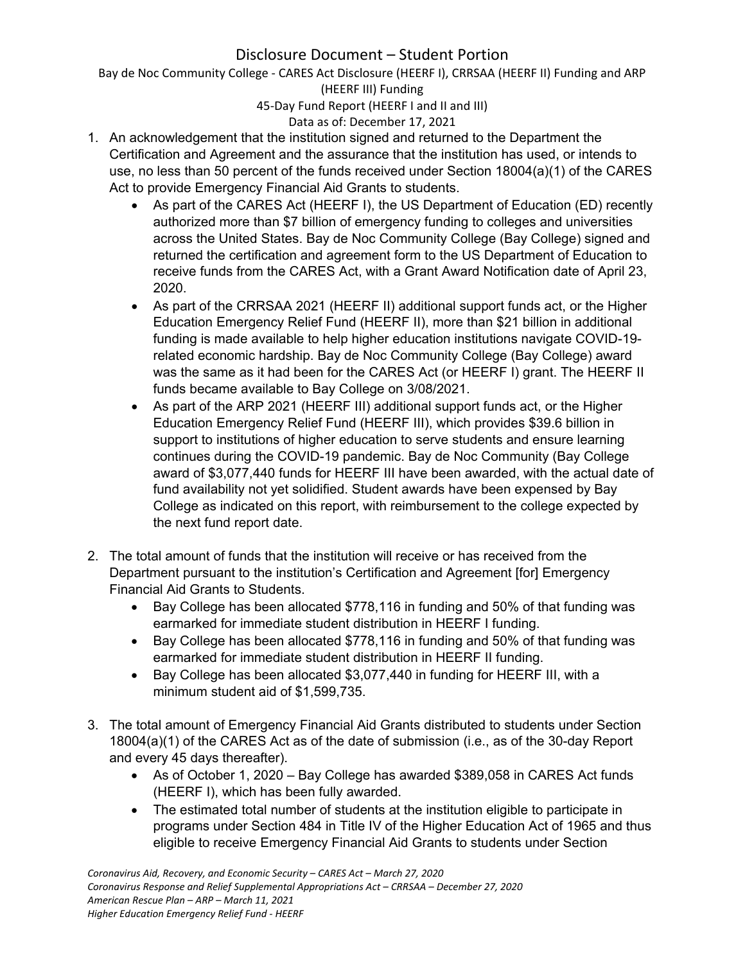Bay de Noc Community College - CARES Act Disclosure (HEERF I), CRRSAA (HEERF II) Funding and ARP (HEERF III) Funding

45-Day Fund Report (HEERF I and II and III)

#### Data as of: December 17, 2021

- 1. An acknowledgement that the institution signed and returned to the Department the Certification and Agreement and the assurance that the institution has used, or intends to use, no less than 50 percent of the funds received under Section 18004(a)(1) of the CARES Act to provide Emergency Financial Aid Grants to students.
	- As part of the CARES Act (HEERF I), the US Department of Education (ED) recently authorized more than \$7 billion of emergency funding to colleges and universities across the United States. Bay de Noc Community College (Bay College) signed and returned the certification and agreement form to the US Department of Education to receive funds from the CARES Act, with a Grant Award Notification date of April 23, 2020.
	- As part of the CRRSAA 2021 (HEERF II) additional support funds act, or the Higher Education Emergency Relief Fund (HEERF II), more than \$21 billion in additional funding is made available to help higher education institutions navigate COVID-19 related economic hardship. Bay de Noc Community College (Bay College) award was the same as it had been for the CARES Act (or HEERF I) grant. The HEERF II funds became available to Bay College on 3/08/2021.
	- As part of the ARP 2021 (HEERF III) additional support funds act, or the Higher Education Emergency Relief Fund (HEERF III), which provides \$39.6 billion in support to institutions of higher education to serve students and ensure learning continues during the COVID-19 pandemic. Bay de Noc Community (Bay College award of \$3,077,440 funds for HEERF III have been awarded, with the actual date of fund availability not yet solidified. Student awards have been expensed by Bay College as indicated on this report, with reimbursement to the college expected by the next fund report date.
- 2. The total amount of funds that the institution will receive or has received from the Department pursuant to the institution's Certification and Agreement [for] Emergency Financial Aid Grants to Students.
	- Bay College has been allocated \$778,116 in funding and 50% of that funding was earmarked for immediate student distribution in HEERF I funding.
	- Bay College has been allocated \$778,116 in funding and 50% of that funding was earmarked for immediate student distribution in HEERF II funding.
	- Bay College has been allocated \$3,077,440 in funding for HEERF III, with a minimum student aid of \$1,599,735.
- 3. The total amount of Emergency Financial Aid Grants distributed to students under Section 18004(a)(1) of the CARES Act as of the date of submission (i.e., as of the 30-day Report and every 45 days thereafter).
	- As of October 1, 2020 Bay College has awarded \$389,058 in CARES Act funds (HEERF I), which has been fully awarded.
	- The estimated total number of students at the institution eligible to participate in programs under Section 484 in Title IV of the Higher Education Act of 1965 and thus eligible to receive Emergency Financial Aid Grants to students under Section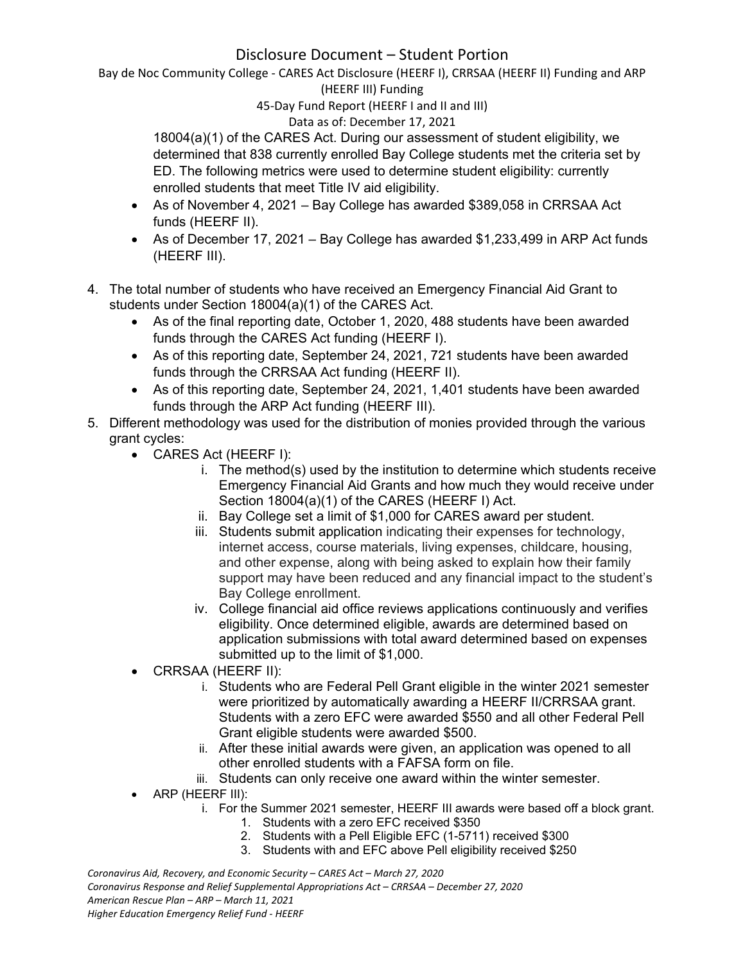Bay de Noc Community College - CARES Act Disclosure (HEERF I), CRRSAA (HEERF II) Funding and ARP (HEERF III) Funding

45-Day Fund Report (HEERF I and II and III)

#### Data as of: December 17, 2021

18004(a)(1) of the CARES Act. During our assessment of student eligibility, we determined that 838 currently enrolled Bay College students met the criteria set by ED. The following metrics were used to determine student eligibility: currently enrolled students that meet Title IV aid eligibility.

- As of November 4, 2021 Bay College has awarded \$389,058 in CRRSAA Act funds (HEERF II).
- As of December 17, 2021 Bay College has awarded \$1,233,499 in ARP Act funds (HEERF III).
- 4. The total number of students who have received an Emergency Financial Aid Grant to students under Section 18004(a)(1) of the CARES Act.
	- As of the final reporting date, October 1, 2020, 488 students have been awarded funds through the CARES Act funding (HEERF I).
	- As of this reporting date, September 24, 2021, 721 students have been awarded funds through the CRRSAA Act funding (HEERF II).
	- As of this reporting date, September 24, 2021, 1,401 students have been awarded funds through the ARP Act funding (HEERF III).
- 5. Different methodology was used for the distribution of monies provided through the various grant cycles:
	- CARES Act (HEERF I):
		- i. The method(s) used by the institution to determine which students receive Emergency Financial Aid Grants and how much they would receive under Section 18004(a)(1) of the CARES (HEERF I) Act.
		- ii. Bay College set a limit of \$1,000 for CARES award per student.
		- iii. Students submit application indicating their expenses for technology, internet access, course materials, living expenses, childcare, housing, and other expense, along with being asked to explain how their family support may have been reduced and any financial impact to the student's Bay College enrollment.
		- iv. College financial aid office reviews applications continuously and verifies eligibility. Once determined eligible, awards are determined based on application submissions with total award determined based on expenses submitted up to the limit of \$1,000.
	- CRRSAA (HEERF II):
		- i. Students who are Federal Pell Grant eligible in the winter 2021 semester were prioritized by automatically awarding a HEERF II/CRRSAA grant. Students with a zero EFC were awarded \$550 and all other Federal Pell Grant eligible students were awarded \$500.
		- ii. After these initial awards were given, an application was opened to all other enrolled students with a FAFSA form on file.
		- iii. Students can only receive one award within the winter semester.
	- ARP (HEERF III):
		- i. For the Summer 2021 semester, HEERF III awards were based off a block grant.
			- 1. Students with a zero EFC received \$350
			- 2. Students with a Pell Eligible EFC (1-5711) received \$300
			- 3. Students with and EFC above Pell eligibility received \$250

*Coronavirus Aid, Recovery, and Economic Security – CARES Act – March 27, 2020 Coronavirus Response and Relief Supplemental Appropriations Act – CRRSAA – December 27, 2020 American Rescue Plan – ARP – March 11, 2021 Higher Education Emergency Relief Fund - HEERF*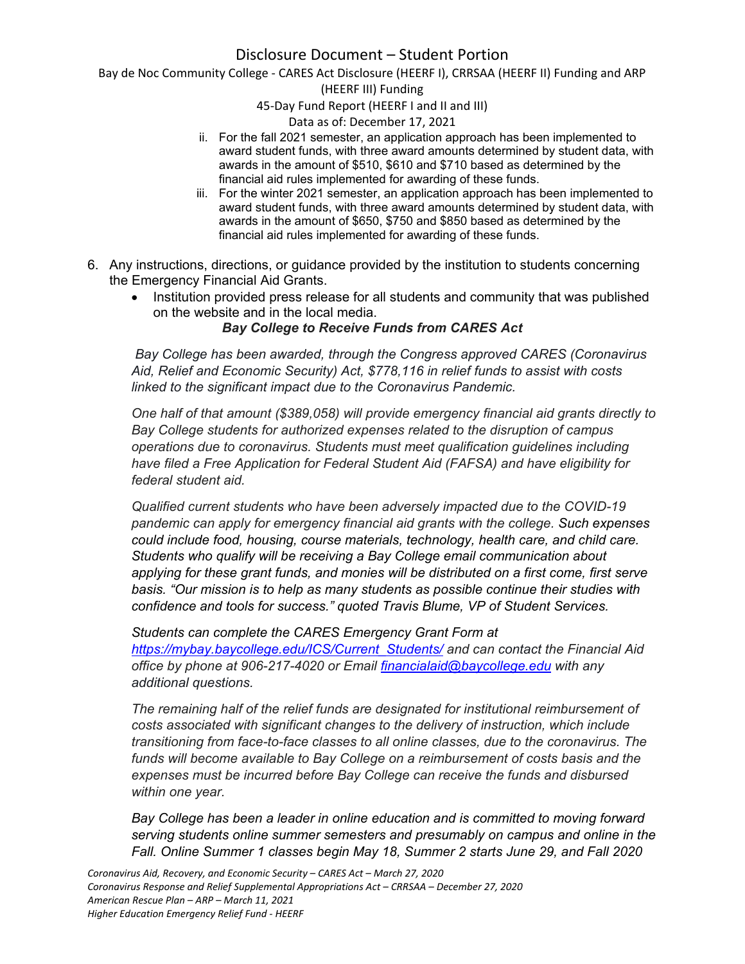Bay de Noc Community College - CARES Act Disclosure (HEERF I), CRRSAA (HEERF II) Funding and ARP

(HEERF III) Funding

45-Day Fund Report (HEERF I and II and III)

Data as of: December 17, 2021

- ii. For the fall 2021 semester, an application approach has been implemented to award student funds, with three award amounts determined by student data, with awards in the amount of \$510, \$610 and \$710 based as determined by the financial aid rules implemented for awarding of these funds.
- iii. For the winter 2021 semester, an application approach has been implemented to award student funds, with three award amounts determined by student data, with awards in the amount of \$650, \$750 and \$850 based as determined by the financial aid rules implemented for awarding of these funds.
- 6. Any instructions, directions, or guidance provided by the institution to students concerning the Emergency Financial Aid Grants.
	- Institution provided press release for all students and community that was published on the website and in the local media.

*Bay College to Receive Funds from CARES Act*

*Bay College has been awarded, through the Congress approved CARES (Coronavirus Aid, Relief and Economic Security) Act, \$778,116 in relief funds to assist with costs linked to the significant impact due to the Coronavirus Pandemic.*

*One half of that amount (\$389,058) will provide emergency financial aid grants directly to Bay College students for authorized expenses related to the disruption of campus operations due to coronavirus. Students must meet qualification guidelines including have filed a Free Application for Federal Student Aid (FAFSA) and have eligibility for federal student aid.*

*Qualified current students who have been adversely impacted due to the COVID-19 pandemic can apply for emergency financial aid grants with the college. Such expenses could include food, housing, course materials, technology, health care, and child care. Students who qualify will be receiving a Bay College email communication about applying for these grant funds, and monies will be distributed on a first come, first serve basis. "Our mission is to help as many students as possible continue their studies with confidence and tools for success." quoted Travis Blume, VP of Student Services.*

*Students can complete the CARES Emergency Grant Form at [https://mybay.baycollege.edu/ICS/Current\\_Students/](https://mybay.baycollege.edu/ICS/Current_Students/) and can contact the Financial Aid office by phone at 906-217-4020 or Email [financialaid@baycollege.edu](mailto:financialaid@baycollege.edu) with any additional questions.*

*The remaining half of the relief funds are designated for institutional reimbursement of costs associated with significant changes to the delivery of instruction, which include transitioning from face-to-face classes to all online classes, due to the coronavirus. The funds will become available to Bay College on a reimbursement of costs basis and the expenses must be incurred before Bay College can receive the funds and disbursed within one year.*

*Bay College has been a leader in online education and is committed to moving forward serving students online summer semesters and presumably on campus and online in the Fall. Online Summer 1 classes begin May 18, Summer 2 starts June 29, and Fall 2020*